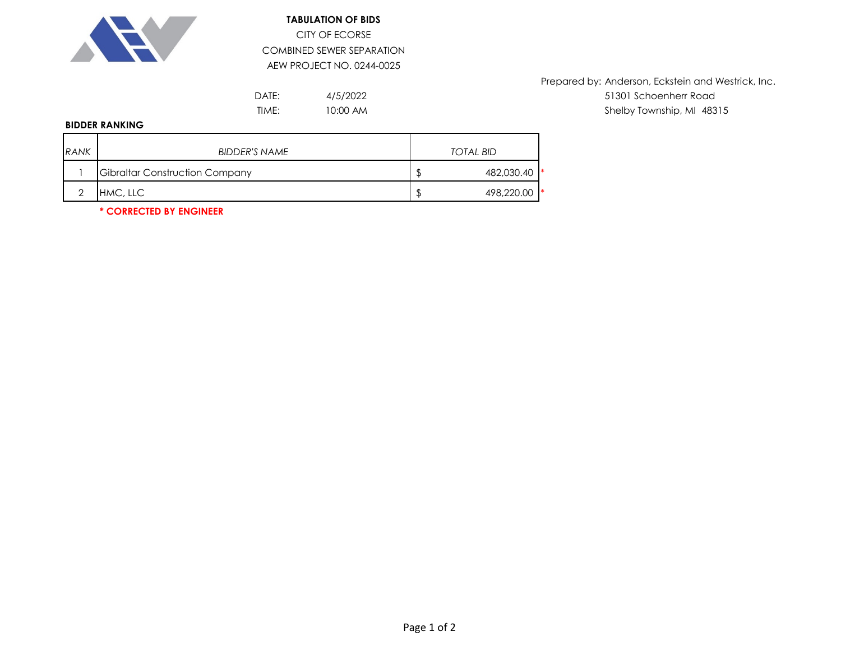

## **TABULATION OF BIDS** CITY OF ECORSE COMBINED SEWER SEPARATION AEW PROJECT NO. 0244-0025

4/5/2022 10:00 AM

Prepared by: Anderson, Eckstein and Westrick, Inc. DATE:  $4/5/2022$  and  $51301$  Schoenherr Road TIME: Shelby Township, MI 48315

## **BIDDER RANKING**

| <b>RANK</b> | <b>BIDDER'S NAME</b>                  | <b>TOTAL BID</b> |
|-------------|---------------------------------------|------------------|
|             | <b>Gibraltar Construction Company</b> | 482,030.40       |
|             | HMC, LLC                              | 498,220.00       |

**\* CORRECTED BY ENGINEER**